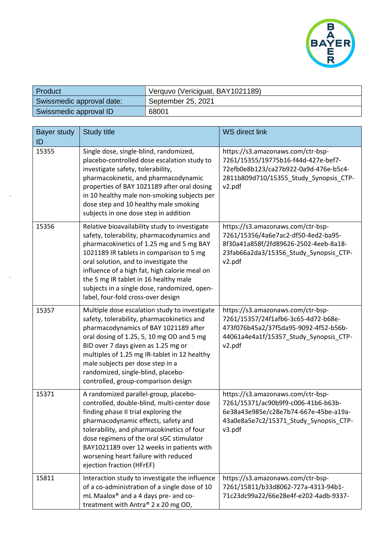

| Product                   | Verquvo (Vericiguat, BAY1021189) |
|---------------------------|----------------------------------|
| Swissmedic approval date: | September 25, 2021               |
| Swissmedic approval ID    | 68001                            |

| <b>Bayer study</b><br>ID | <b>Study title</b>                                                                                                                                                                                                                                                                                                                                                                                           | <b>WS direct link</b>                                                                                                                                                 |
|--------------------------|--------------------------------------------------------------------------------------------------------------------------------------------------------------------------------------------------------------------------------------------------------------------------------------------------------------------------------------------------------------------------------------------------------------|-----------------------------------------------------------------------------------------------------------------------------------------------------------------------|
| 15355                    | Single dose, single-blind, randomized,<br>placebo-controlled dose escalation study to<br>investigate safety, tolerability,<br>pharmacokinetic, and pharmacodynamic<br>properties of BAY 1021189 after oral dosing<br>in 10 healthy male non-smoking subjects per<br>dose step and 10 healthy male smoking<br>subjects in one dose step in addition                                                           | https://s3.amazonaws.com/ctr-bsp-<br>7261/15355/19775b16-f44d-427e-bef7-<br>72efb0e8b123/ca27b922-0a9d-476e-b5c4-<br>2811b809d710/15355_Study_Synopsis_CTP-<br>v2.pdf |
| 15356                    | Relative bioavailability study to investigate<br>safety, tolerability, pharmacodynamics and<br>pharmacokinetics of 1.25 mg and 5 mg BAY<br>1021189 IR tablets in comparison to 5 mg<br>oral solution, and to investigate the<br>influence of a high fat, high calorie meal on<br>the 5 mg IR tablet in 16 healthy male<br>subjects in a single dose, randomized, open-<br>label, four-fold cross-over design | https://s3.amazonaws.com/ctr-bsp-<br>7261/15356/4a6e7ac2-df50-4ed2-ba95-<br>8f30a41a858f/2fd89626-2502-4eeb-8a18-<br>23fab66a2da3/15356_Study_Synopsis_CTP-<br>v2.pdf |
| 15357                    | Multiple dose escalation study to investigate<br>safety, tolerability, pharmacokinetics and<br>pharmacodynamics of BAY 1021189 after<br>oral dosing of 1.25, 5, 10 mg OD and 5 mg<br>BID over 7 days given as 1.25 mg or<br>multiples of 1.25 mg IR-tablet in 12 healthy<br>male subjects per dose step in a<br>randomized, single-blind, placebo-<br>controlled, group-comparison design                    | https://s3.amazonaws.com/ctr-bsp-<br>7261/15357/24f1afb6-3c65-4d72-b68e-<br>473f076b45a2/37f5da95-9092-4f52-b56b-<br>44061a4e4a1f/15357_Study_Synopsis_CTP-<br>v2.pdf |
| 15371                    | A randomized parallel-group, placebo-<br>controlled, double-blind, multi-center dose<br>finding phase II trial exploring the<br>pharmacodynamic effects, safety and<br>tolerability, and pharmacokinetics of four<br>dose regimens of the oral sGC stimulator<br>BAY1021189 over 12 weeks in patients with<br>worsening heart failure with reduced<br>ejection fraction (HFrEF)                              | https://s3.amazonaws.com/ctr-bsp-<br>7261/15371/ac90b9f9-c006-41b6-b63b-<br>6e38a43e985e/c28e7b74-667e-45be-a19a-<br>43a0e8a5e7c2/15371_Study_Synopsis_CTP-<br>v3.pdf |
| 15811                    | Interaction study to investigate the influence<br>of a co-administration of a single dose of 10<br>mL Maalox® and a 4 days pre- and co-<br>treatment with Antra® 2 x 20 mg OD,                                                                                                                                                                                                                               | https://s3.amazonaws.com/ctr-bsp-<br>7261/15811/b33d8062-727a-4313-94b1-<br>71c23dc99a22/66e28e4f-e202-4adb-9337-                                                     |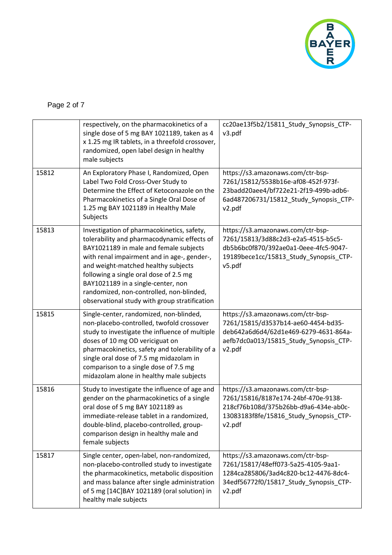

|       | respectively, on the pharmacokinetics of a<br>single dose of 5 mg BAY 1021189, taken as 4<br>x 1.25 mg IR tablets, in a threefold crossover,<br>randomized, open label design in healthy<br>male subjects                                                                                                                                                                                              | cc20ae13f5b2/15811_Study_Synopsis_CTP-<br>v3.pdf                                                                                                                      |
|-------|--------------------------------------------------------------------------------------------------------------------------------------------------------------------------------------------------------------------------------------------------------------------------------------------------------------------------------------------------------------------------------------------------------|-----------------------------------------------------------------------------------------------------------------------------------------------------------------------|
| 15812 | An Exploratory Phase I, Randomized, Open<br>Label Two Fold Cross-Over Study to<br>Determine the Effect of Ketoconazole on the<br>Pharmacokinetics of a Single Oral Dose of<br>1.25 mg BAY 1021189 in Healthy Male<br>Subjects                                                                                                                                                                          | https://s3.amazonaws.com/ctr-bsp-<br>7261/15812/5538b16e-af08-452f-973f-<br>23badd20aee4/bf722e21-2f19-499b-adb6-<br>6ad487206731/15812_Study_Synopsis_CTP-<br>v2.pdf |
| 15813 | Investigation of pharmacokinetics, safety,<br>tolerability and pharmacodynamic effects of<br>BAY1021189 in male and female subjects<br>with renal impairment and in age-, gender-,<br>and weight-matched healthy subjects<br>following a single oral dose of 2.5 mg<br>BAY1021189 in a single-center, non<br>randomized, non-controlled, non-blinded,<br>observational study with group stratification | https://s3.amazonaws.com/ctr-bsp-<br>7261/15813/3d88c2d3-e2a5-4515-b5c5-<br>db5b6bc0f870/392ae0a1-0eee-4fc5-9047-<br>19189bece1cc/15813_Study_Synopsis_CTP-<br>v5.pdf |
| 15815 | Single-center, randomized, non-blinded,<br>non-placebo-controlled, twofold crossover<br>study to investigate the influence of multiple<br>doses of 10 mg OD vericiguat on<br>pharmacokinetics, safety and tolerability of a<br>single oral dose of 7.5 mg midazolam in<br>comparison to a single dose of 7.5 mg<br>midazolam alone in healthy male subjects                                            | https://s3.amazonaws.com/ctr-bsp-<br>7261/15815/d3537b14-ae60-4454-bd35-<br>deb642a6d6d4/62d1e469-6279-4631-864a-<br>aefb7dc0a013/15815_Study_Synopsis_CTP-<br>v2.pdf |
| 15816 | Study to investigate the influence of age and<br>gender on the pharmacokinetics of a single<br>oral dose of 5 mg BAY 1021189 as<br>immediate-release tablet in a randomized,<br>double-blind, placebo-controlled, group-<br>comparison design in healthy male and<br>female subjects                                                                                                                   | https://s3.amazonaws.com/ctr-bsp-<br>7261/15816/8187e174-24bf-470e-9138-<br>218cf76b108d/375b26bb-d9a6-434e-ab0c-<br>13083183f8fe/15816 Study Synopsis CTP-<br>v2.pdf |
| 15817 | Single center, open-label, non-randomized,<br>non-placebo-controlled study to investigate<br>the pharmacokinetics, metabolic disposition<br>and mass balance after single administration<br>of 5 mg [14C]BAY 1021189 (oral solution) in<br>healthy male subjects                                                                                                                                       | https://s3.amazonaws.com/ctr-bsp-<br>7261/15817/48eff073-5a25-4105-9aa1-<br>1284ca285806/3ad4c820-bc12-4476-8dc4-<br>34edf56772f0/15817_Study_Synopsis_CTP-<br>v2.pdf |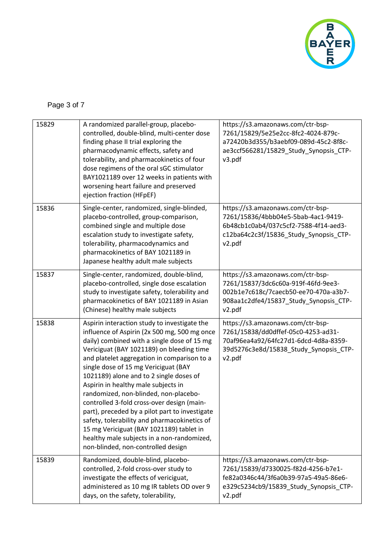

|  | Page 3 of 7 |  |  |  |
|--|-------------|--|--|--|
|--|-------------|--|--|--|

| 15829 | A randomized parallel-group, placebo-<br>controlled, double-blind, multi-center dose<br>finding phase II trial exploring the<br>pharmacodynamic effects, safety and<br>tolerability, and pharmacokinetics of four<br>dose regimens of the oral sGC stimulator<br>BAY1021189 over 12 weeks in patients with<br>worsening heart failure and preserved<br>ejection fraction (HFpEF)                                                                                                                                                                                                                                                                                                           | https://s3.amazonaws.com/ctr-bsp-<br>7261/15829/5e25e2cc-8fc2-4024-879c-<br>a72420b3d355/b3aebf09-089d-45c2-8f8c-<br>ae3ccf566281/15829_Study_Synopsis_CTP-<br>v3.pdf |
|-------|--------------------------------------------------------------------------------------------------------------------------------------------------------------------------------------------------------------------------------------------------------------------------------------------------------------------------------------------------------------------------------------------------------------------------------------------------------------------------------------------------------------------------------------------------------------------------------------------------------------------------------------------------------------------------------------------|-----------------------------------------------------------------------------------------------------------------------------------------------------------------------|
| 15836 | Single-center, randomized, single-blinded,<br>placebo-controlled, group-comparison,<br>combined single and multiple dose<br>escalation study to investigate safety,<br>tolerability, pharmacodynamics and<br>pharmacokinetics of BAY 1021189 in<br>Japanese healthy adult male subjects                                                                                                                                                                                                                                                                                                                                                                                                    | https://s3.amazonaws.com/ctr-bsp-<br>7261/15836/4bbb04e5-5bab-4ac1-9419-<br>6b48cb1c0ab4/037c5cf2-7588-4f14-aed3-<br>c12ba64c2c3f/15836_Study_Synopsis_CTP-<br>v2.pdf |
| 15837 | Single-center, randomized, double-blind,<br>placebo-controlled, single dose escalation<br>study to investigate safety, tolerability and<br>pharmacokinetics of BAY 1021189 in Asian<br>(Chinese) healthy male subjects                                                                                                                                                                                                                                                                                                                                                                                                                                                                     | https://s3.amazonaws.com/ctr-bsp-<br>7261/15837/3dc6c60a-919f-46fd-9ee3-<br>002b1e7c618c/7caecb50-ee70-470a-a3b7-<br>908aa1c2dfe4/15837_Study_Synopsis_CTP-<br>v2.pdf |
| 15838 | Aspirin interaction study to investigate the<br>influence of Aspirin (2x 500 mg, 500 mg once<br>daily) combined with a single dose of 15 mg<br>Vericiguat (BAY 1021189) on bleeding time<br>and platelet aggregation in comparison to a<br>single dose of 15 mg Vericiguat (BAY<br>1021189) alone and to 2 single doses of<br>Aspirin in healthy male subjects in<br>randomized, non-blinded, non-placebo-<br>controlled 3-fold cross-over design (main-<br>part), preceded by a pilot part to investigate<br>safety, tolerability and pharmacokinetics of<br>15 mg Vericiguat (BAY 1021189) tablet in<br>healthy male subjects in a non-randomized,<br>non-blinded, non-controlled design | https://s3.amazonaws.com/ctr-bsp-<br>7261/15838/dd0dffef-05c0-4253-ad31-<br>70af96ea4a92/64fc27d1-6dcd-4d8a-8359-<br>39d5276c3e8d/15838_Study_Synopsis_CTP-<br>v2.pdf |
| 15839 | Randomized, double-blind, placebo-<br>controlled, 2-fold cross-over study to<br>investigate the effects of vericiguat,<br>administered as 10 mg IR tablets OD over 9<br>days, on the safety, tolerability,                                                                                                                                                                                                                                                                                                                                                                                                                                                                                 | https://s3.amazonaws.com/ctr-bsp-<br>7261/15839/d7330025-f82d-4256-b7e1-<br>fe82a0346c44/3f6a0b39-97a5-49a5-86e6-<br>e329c5234cb9/15839_Study_Synopsis_CTP-<br>v2.pdf |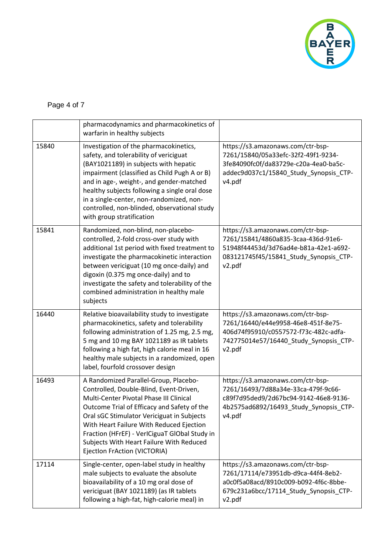

## Page 4 of 7

|       | pharmacodynamics and pharmacokinetics of                                                                                                                                                                                                                                                                                                                                                                                        |                                                                                                                                                                       |
|-------|---------------------------------------------------------------------------------------------------------------------------------------------------------------------------------------------------------------------------------------------------------------------------------------------------------------------------------------------------------------------------------------------------------------------------------|-----------------------------------------------------------------------------------------------------------------------------------------------------------------------|
| 15840 | warfarin in healthy subjects<br>Investigation of the pharmacokinetics,<br>safety, and tolerability of vericiguat<br>(BAY1021189) in subjects with hepatic<br>impairment (classified as Child Pugh A or B)<br>and in age-, weight-, and gender-matched<br>healthy subjects following a single oral dose<br>in a single-center, non-randomized, non-<br>controlled, non-blinded, observational study<br>with group stratification | https://s3.amazonaws.com/ctr-bsp-<br>7261/15840/05a33efc-32f2-49f1-9234-<br>3fe84090fc0f/da83729e-c20a-4ea0-ba5c-<br>addec9d037c1/15840_Study_Synopsis_CTP-<br>v4.pdf |
| 15841 | Randomized, non-blind, non-placebo-<br>controlled, 2-fold cross-over study with<br>additional 1st period with fixed treatment to<br>investigate the pharmacokinetic interaction<br>between vericiguat (10 mg once-daily) and<br>digoxin (0.375 mg once-daily) and to<br>investigate the safety and tolerability of the<br>combined administration in healthy male<br>subjects                                                   | https://s3.amazonaws.com/ctr-bsp-<br>7261/15841/4860a835-3caa-436d-91e6-<br>51948f44453d/3d76ad4e-b81a-42e1-a692-<br>083121745f45/15841 Study Synopsis CTP-<br>v2.pdf |
| 16440 | Relative bioavailability study to investigate<br>pharmacokinetics, safety and tolerability<br>following administration of 1.25 mg, 2.5 mg,<br>5 mg and 10 mg BAY 1021189 as IR tablets<br>following a high fat, high calorie meal in 16<br>healthy male subjects in a randomized, open<br>label, fourfold crossover design                                                                                                      | https://s3.amazonaws.com/ctr-bsp-<br>7261/16440/e44e9958-46e8-451f-8e75-<br>406d74f95910/c0557572-f73c-482c-adfa-<br>742775014e57/16440_Study_Synopsis_CTP-<br>v2.pdf |
| 16493 | A Randomized Parallel-Group, Placebo-<br>Controlled, Double-Blind, Event-Driven,<br>Multi-Center Pivotal Phase III Clinical<br>Outcome Trial of Efficacy and Safety of the<br>Oral sGC Stimulator Vericiguat in Subjects<br>With Heart Failure With Reduced Ejection<br>Fraction (HFrEF) - VerICiguaT GlObal Study in<br>Subjects With Heart Failure With Reduced<br>Ejection FrAction (VICTORIA)                               | https://s3.amazonaws.com/ctr-bsp-<br>7261/16493/7d88a34e-33ca-479f-9c66-<br>c89f7d95ded9/2d67bc94-9142-46e8-9136-<br>4b2575ad6892/16493 Study Synopsis CTP-<br>v4.pdf |
| 17114 | Single-center, open-label study in healthy<br>male subjects to evaluate the absolute<br>bioavailability of a 10 mg oral dose of<br>vericiguat (BAY 1021189) (as IR tablets<br>following a high-fat, high-calorie meal) in                                                                                                                                                                                                       | https://s3.amazonaws.com/ctr-bsp-<br>7261/17114/e73951db-d9ca-44f4-8eb2-<br>a0c0f5a08acd/8910c009-b092-4f6c-8bbe-<br>679c231a6bcc/17114_Study_Synopsis_CTP-<br>v2.pdf |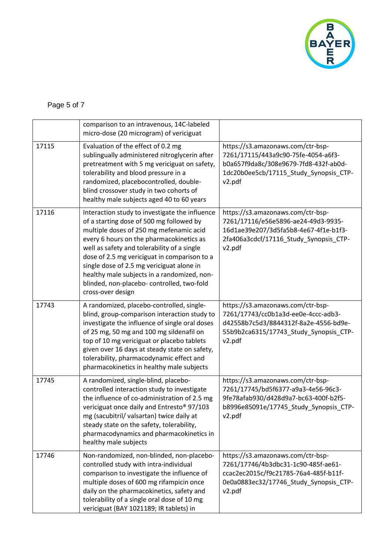

## Page 5 of 7

|       | comparison to an intravenous, 14C-labeled<br>micro-dose (20 microgram) of vericiguat                                                                                                                                                                                                                                                                                                                                                            |                                                                                                                                                                       |
|-------|-------------------------------------------------------------------------------------------------------------------------------------------------------------------------------------------------------------------------------------------------------------------------------------------------------------------------------------------------------------------------------------------------------------------------------------------------|-----------------------------------------------------------------------------------------------------------------------------------------------------------------------|
| 17115 | Evaluation of the effect of 0.2 mg<br>sublingually administered nitroglycerin after<br>pretreatment with 5 mg vericiguat on safety,<br>tolerability and blood pressure in a<br>randomized, placebocontrolled, double-<br>blind crossover study in two cohorts of<br>healthy male subjects aged 40 to 60 years                                                                                                                                   | https://s3.amazonaws.com/ctr-bsp-<br>7261/17115/443a9c90-75fe-4054-a6f3-<br>b0a657f9da8c/308e9679-7fd8-432f-ab0d-<br>1dc20b0ee5cb/17115_Study_Synopsis_CTP-<br>v2.pdf |
| 17116 | Interaction study to investigate the influence<br>of a starting dose of 500 mg followed by<br>multiple doses of 250 mg mefenamic acid<br>every 6 hours on the pharmacokinetics as<br>well as safety and tolerability of a single<br>dose of 2.5 mg vericiguat in comparison to a<br>single dose of 2.5 mg vericiguat alone in<br>healthy male subjects in a randomized, non-<br>blinded, non-placebo- controlled, two-fold<br>cross-over design | https://s3.amazonaws.com/ctr-bsp-<br>7261/17116/e56e5896-ae24-49d3-9935-<br>16d1ae39e207/3d5fa5b8-4e67-4f1e-b1f3-<br>2fa406a3cdcf/17116_Study_Synopsis_CTP-<br>v2.pdf |
| 17743 | A randomized, placebo-controlled, single-<br>blind, group-comparison interaction study to<br>investigate the influence of single oral doses<br>of 25 mg, 50 mg and 100 mg sildenafil on<br>top of 10 mg vericiguat or placebo tablets<br>given over 16 days at steady state on safety,<br>tolerability, pharmacodynamic effect and<br>pharmacokinetics in healthy male subjects                                                                 | https://s3.amazonaws.com/ctr-bsp-<br>7261/17743/cc0b1a3d-ee0e-4ccc-adb3-<br>d42558b7c5d3/8844312f-8a2e-4556-bd9e-<br>55b9b2ca6315/17743_Study_Synopsis_CTP-<br>v2.pdf |
| 17745 | A randomized, single-blind, placebo-<br>controlled interaction study to investigate<br>the influence of co-administration of 2.5 mg<br>vericiguat once daily and Entresto® 97/103<br>mg (sacubitril/ valsartan) twice daily at<br>steady state on the safety, tolerability,<br>pharmacodynamics and pharmacokinetics in<br>healthy male subjects                                                                                                | https://s3.amazonaws.com/ctr-bsp-<br>7261/17745/bd5f6377-a9a3-4e56-96c3-<br>9fe78afab930/d428d9a7-bc63-400f-b2f5-<br>b8996e85091e/17745_Study_Synopsis_CTP-<br>v2.pdf |
| 17746 | Non-randomized, non-blinded, non-placebo-<br>controlled study with intra-individual<br>comparison to investigate the influence of<br>multiple doses of 600 mg rifampicin once<br>daily on the pharmacokinetics, safety and<br>tolerability of a single oral dose of 10 mg<br>vericiguat (BAY 1021189; IR tablets) in                                                                                                                            | https://s3.amazonaws.com/ctr-bsp-<br>7261/17746/4b3dbc31-1c90-485f-ae61-<br>ccac2ec2015c/f9c21785-76a4-485f-b11f-<br>0e0a0883ec32/17746 Study Synopsis CTP-<br>v2.pdf |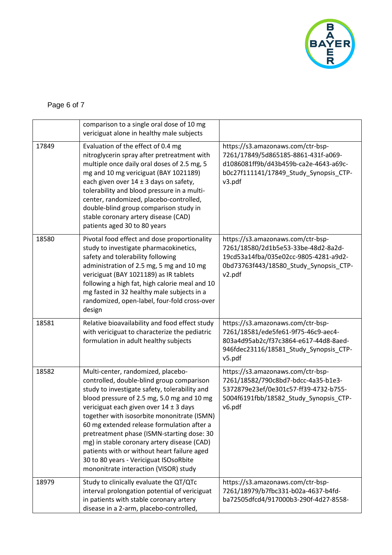

## Page 6 of 7

|       | comparison to a single oral dose of 10 mg<br>vericiguat alone in healthy male subjects                                                                                                                                                                                                                                                                                                                                                                                                                                                               |                                                                                                                                                                       |
|-------|------------------------------------------------------------------------------------------------------------------------------------------------------------------------------------------------------------------------------------------------------------------------------------------------------------------------------------------------------------------------------------------------------------------------------------------------------------------------------------------------------------------------------------------------------|-----------------------------------------------------------------------------------------------------------------------------------------------------------------------|
| 17849 | Evaluation of the effect of 0.4 mg<br>nitroglycerin spray after pretreatment with<br>multiple once daily oral doses of 2.5 mg, 5<br>mg and 10 mg vericiguat (BAY 1021189)<br>each given over $14 \pm 3$ days on safety,<br>tolerability and blood pressure in a multi-<br>center, randomized, placebo-controlled,<br>double-blind group comparison study in<br>stable coronary artery disease (CAD)<br>patients aged 30 to 80 years                                                                                                                  | https://s3.amazonaws.com/ctr-bsp-<br>7261/17849/5d865185-8861-431f-a069-<br>d1086081ff9b/d43b459b-ca2e-4643-a69c-<br>b0c27f111141/17849_Study_Synopsis_CTP-<br>v3.pdf |
| 18580 | Pivotal food effect and dose proportionality<br>study to investigate pharmacokinetics,<br>safety and tolerability following<br>administration of 2.5 mg, 5 mg and 10 mg<br>vericiguat (BAY 1021189) as IR tablets<br>following a high fat, high calorie meal and 10<br>mg fasted in 32 healthy male subjects in a<br>randomized, open-label, four-fold cross-over<br>design                                                                                                                                                                          | https://s3.amazonaws.com/ctr-bsp-<br>7261/18580/2d1b5e53-33be-48d2-8a2d-<br>19cd53a14fba/035e02cc-9805-4281-a9d2-<br>0bd73763f443/18580_Study_Synopsis_CTP-<br>v2.pdf |
| 18581 | Relative bioavailability and food effect study<br>with vericiguat to characterize the pediatric<br>formulation in adult healthy subjects                                                                                                                                                                                                                                                                                                                                                                                                             | https://s3.amazonaws.com/ctr-bsp-<br>7261/18581/ede5fe61-9f75-46c9-aec4-<br>803a4d95ab2c/f37c3864-e617-44d8-8aed-<br>946fdec23116/18581_Study_Synopsis_CTP-<br>v5.pdf |
| 18582 | Multi-center, randomized, placebo-<br>controlled, double-blind group comparison<br>study to investigate safety, tolerability and<br>blood pressure of 2.5 mg, 5.0 mg and 10 mg<br>vericiguat each given over 14 ± 3 days<br>together with isosorbite mononitrate (ISMN)<br>60 mg extended release formulation after a<br>pretreatment phase (ISMN-starting dose: 30<br>mg) in stable coronary artery disease (CAD)<br>patients with or without heart failure aged<br>30 to 80 years - Vericiguat ISOsoRbite<br>mononitrate interaction (VISOR) study | https://s3.amazonaws.com/ctr-bsp-<br>7261/18582/790c8bd7-bdcc-4a35-b1e3-<br>5372879e23ef/0e301c57-ff39-4732-b755-<br>5004f6191fbb/18582_Study_Synopsis_CTP-<br>v6.pdf |
| 18979 | Study to clinically evaluate the QT/QTc<br>interval prolongation potential of vericiguat<br>in patients with stable coronary artery<br>disease in a 2-arm, placebo-controlled,                                                                                                                                                                                                                                                                                                                                                                       | https://s3.amazonaws.com/ctr-bsp-<br>7261/18979/b7fbc331-b02a-4637-b4fd-<br>ba72505dfcd4/917000b3-290f-4d27-8558-                                                     |